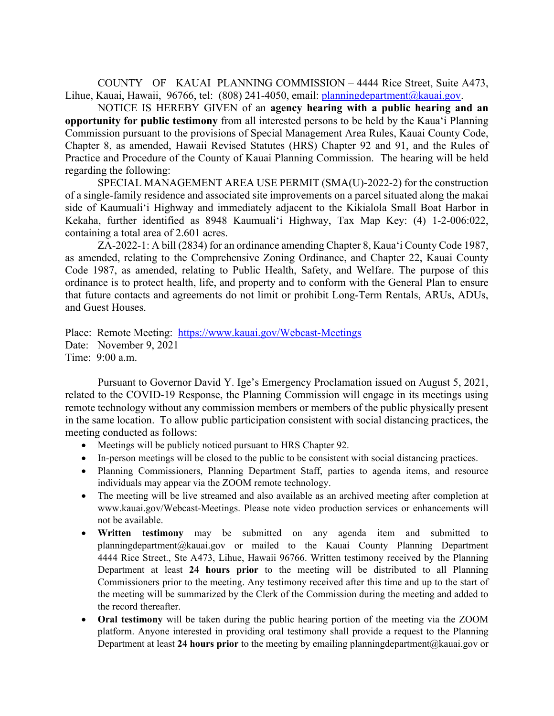COUNTY OF KAUAI PLANNING COMMISSION – 4444 Rice Street, Suite A473, Lihue, Kauai, Hawaii, 96766, tel: (808) 241-4050, email: planningdepartment@kauai.gov.

NOTICE IS HEREBY GIVEN of an **agency hearing with a public hearing and an opportunity for public testimony** from all interested persons to be held by the Kaua'i Planning Commission pursuant to the provisions of Special Management Area Rules, Kauai County Code, Chapter 8, as amended, Hawaii Revised Statutes (HRS) Chapter 92 and 91, and the Rules of Practice and Procedure of the County of Kauai Planning Commission. The hearing will be held regarding the following:

 SPECIAL MANAGEMENT AREA USE PERMIT (SMA(U)-2022-2) for the construction of a single-family residence and associated site improvements on a parcel situated along the makai side of Kaumuali'i Highway and immediately adjacent to the Kikialola Small Boat Harbor in Kekaha, further identified as 8948 Kaumuali'i Highway, Tax Map Key: (4) 1-2-006:022, containing a total area of 2.601 acres.

 ZA-2022-1: A bill (2834) for an ordinance amending Chapter 8, Kaua'i County Code 1987, as amended, relating to the Comprehensive Zoning Ordinance, and Chapter 22, Kauai County Code 1987, as amended, relating to Public Health, Safety, and Welfare. The purpose of this ordinance is to protect health, life, and property and to conform with the General Plan to ensure that future contacts and agreements do not limit or prohibit Long-Term Rentals, ARUs, ADUs, and Guest Houses.

Place: Remote Meeting: https://www.kauai.gov/Webcast-Meetings Date: November 9, 2021 Time: 9:00 a.m.

Pursuant to Governor David Y. Ige's Emergency Proclamation issued on August 5, 2021, related to the COVID-19 Response, the Planning Commission will engage in its meetings using remote technology without any commission members or members of the public physically present in the same location. To allow public participation consistent with social distancing practices, the meeting conducted as follows:

- Meetings will be publicly noticed pursuant to HRS Chapter 92.
- In-person meetings will be closed to the public to be consistent with social distancing practices.
- Planning Commissioners, Planning Department Staff, parties to agenda items, and resource individuals may appear via the ZOOM remote technology.
- The meeting will be live streamed and also available as an archived meeting after completion at www.kauai.gov/Webcast-Meetings. Please note video production services or enhancements will not be available.
- **Written testimony** may be submitted on any agenda item and submitted to planningdepartment@kauai.gov or mailed to the Kauai County Planning Department 4444 Rice Street., Ste A473, Lihue, Hawaii 96766. Written testimony received by the Planning Department at least **24 hours prior** to the meeting will be distributed to all Planning Commissioners prior to the meeting. Any testimony received after this time and up to the start of the meeting will be summarized by the Clerk of the Commission during the meeting and added to the record thereafter.
- **Oral testimony** will be taken during the public hearing portion of the meeting via the ZOOM platform. Anyone interested in providing oral testimony shall provide a request to the Planning Department at least **24 hours prior** to the meeting by emailing planningdepartment@kauai.gov or